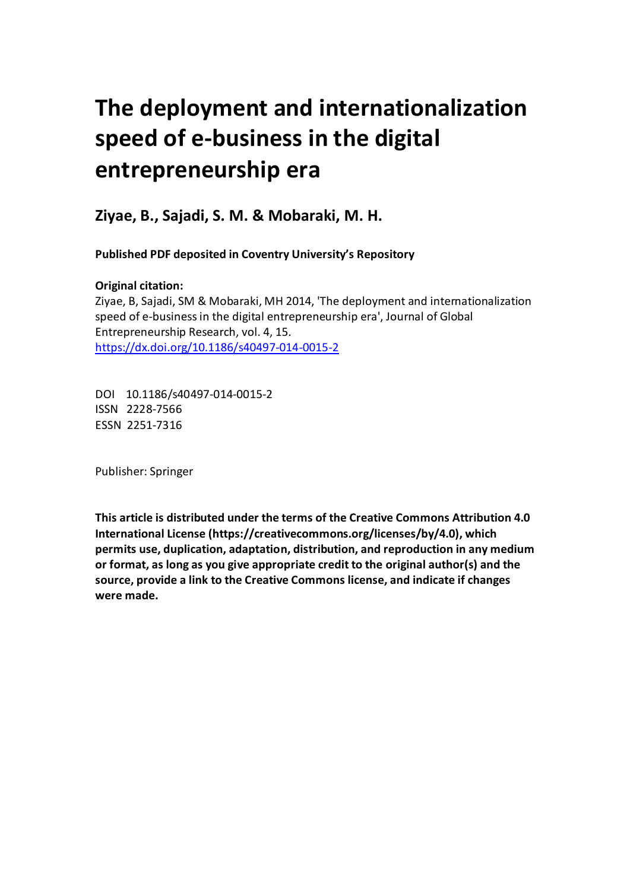# **The deployment and internationalization speed of e-business in the digital entrepreneurship era**

 **Ziyae, B., Sajadi, S. M. & Mobaraki, M. H.** 

 **Published PDF deposited in Coventry University's Repository**

# **Original citation:**

 Ziyae, B, Sajadi, SM & Mobaraki, MH 2014, 'The deployment and internationalization speed of e-business in the digital entrepreneurship era', Journal of Global Entrepreneurship Research, vol. 4, 15. https://dx.doi.org/10.1186/s40497-014-0015-2

 DOI 10.1186/s40497-014-0015-2 ISSN 2228-7566 ESSN 2251-7316

Publisher: Springer

 **This article is distributed under the terms of the Creative Commons Attribution 4.0 International License (https://creativecommons.org/licenses/by/4.0), which permits use, duplication, adaptation, distribution, and reproduction in any medium or format, as long as you give appropriate credit to the original author(s) and the source, provide a link to the Creative Commons license, and indicate if changes were made.**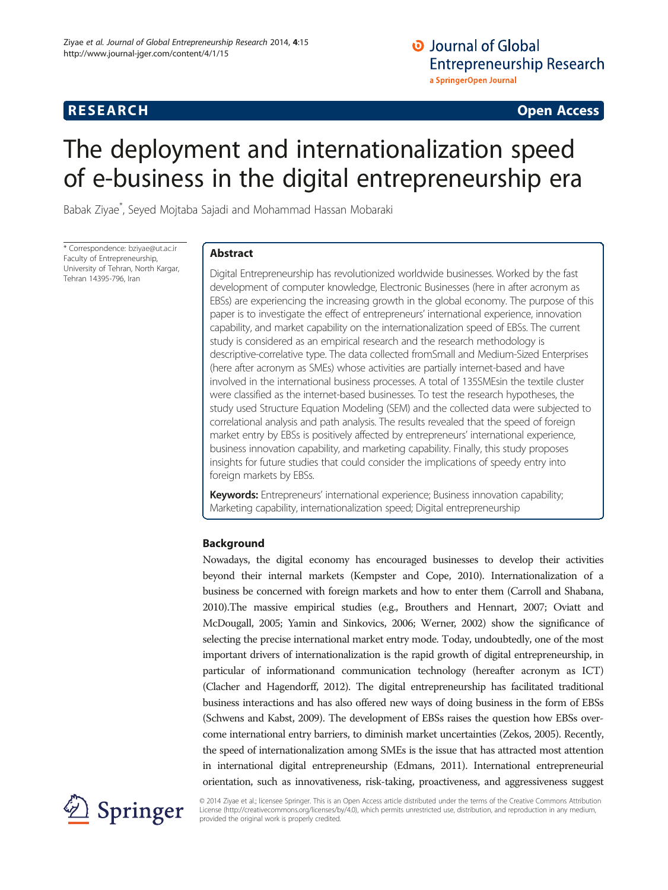# **O** Journal of Global **Entrepreneurship Research** a SpringerOpen Journal

## RE SEARCH Open Access

# The deployment and internationalization speed of e-business in the digital entrepreneurship era

Babak Ziyae\* , Seyed Mojtaba Sajadi and Mohammad Hassan Mobaraki

\* Correspondence: [bziyae@ut.ac.ir](mailto:bziyae@ut.ac.ir) Faculty of Entrepreneurship, University of Tehran, North Kargar, Tehran 14395-796, Iran

## Abstract

Digital Entrepreneurship has revolutionized worldwide businesses. Worked by the fast development of computer knowledge, Electronic Businesses (here in after acronym as EBSs) are experiencing the increasing growth in the global economy. The purpose of this paper is to investigate the effect of entrepreneurs' international experience, innovation capability, and market capability on the internationalization speed of EBSs. The current study is considered as an empirical research and the research methodology is descriptive-correlative type. The data collected fromSmall and Medium-Sized Enterprises (here after acronym as SMEs) whose activities are partially internet-based and have involved in the international business processes. A total of 135SMEsin the textile cluster were classified as the internet-based businesses. To test the research hypotheses, the study used Structure Equation Modeling (SEM) and the collected data were subjected to correlational analysis and path analysis. The results revealed that the speed of foreign market entry by EBSs is positively affected by entrepreneurs' international experience, business innovation capability, and marketing capability. Finally, this study proposes insights for future studies that could consider the implications of speedy entry into foreign markets by EBSs.

Keywords: Entrepreneurs' international experience; Business innovation capability; Marketing capability, internationalization speed; Digital entrepreneurship

## Background

Nowadays, the digital economy has encouraged businesses to develop their activities beyond their internal markets (Kempster and Cope, [2010](#page-11-0)). Internationalization of a business be concerned with foreign markets and how to enter them (Carroll and Shabana, [2010\)](#page-11-0).The massive empirical studies (e.g., Brouthers and Hennart, [2007;](#page-11-0) Oviatt and McDougall, [2005](#page-11-0); Yamin and Sinkovics, [2006](#page-11-0); Werner, [2002\)](#page-11-0) show the significance of selecting the precise international market entry mode. Today, undoubtedly, one of the most important drivers of internationalization is the rapid growth of digital entrepreneurship, in particular of informationand communication technology (hereafter acronym as ICT) (Clacher and Hagendorff, [2012\)](#page-11-0). The digital entrepreneurship has facilitated traditional business interactions and has also offered new ways of doing business in the form of EBSs (Schwens and Kabst, [2009\)](#page-11-0). The development of EBSs raises the question how EBSs overcome international entry barriers, to diminish market uncertainties (Zekos, [2005](#page-11-0)). Recently, the speed of internationalization among SMEs is the issue that has attracted most attention in international digital entrepreneurship (Edmans, [2011](#page-11-0)). International entrepreneurial orientation, such as innovativeness, risk-taking, proactiveness, and aggressiveness suggest



© 2014 Ziyae et al.; licensee Springer. This is an Open Access article distributed under the terms of the Creative Commons Attribution License [\(http://creativecommons.org/licenses/by/4.0\)](http://creativecommons.org/licenses/by/4.0), which permits unrestricted use, distribution, and reproduction in any medium, provided the original work is properly credited.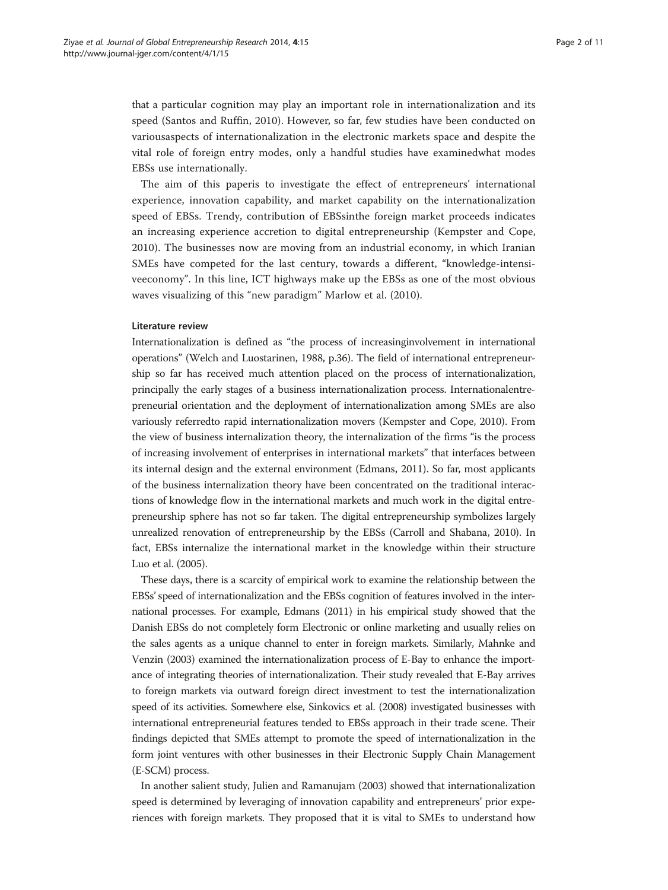that a particular cognition may play an important role in internationalization and its speed (Santos and Ruffin, [2010](#page-11-0)). However, so far, few studies have been conducted on variousaspects of internationalization in the electronic markets space and despite the vital role of foreign entry modes, only a handful studies have examinedwhat modes EBSs use internationally.

The aim of this paperis to investigate the effect of entrepreneurs' international experience, innovation capability, and market capability on the internationalization speed of EBSs. Trendy, contribution of EBSsinthe foreign market proceeds indicates an increasing experience accretion to digital entrepreneurship (Kempster and Cope, [2010\)](#page-11-0). The businesses now are moving from an industrial economy, in which Iranian SMEs have competed for the last century, towards a different, "knowledge-intensiveeconomy". In this line, ICT highways make up the EBSs as one of the most obvious waves visualizing of this "new paradigm" Marlow et al. [\(2010](#page-11-0)).

#### Literature review

Internationalization is defined as "the process of increasinginvolvement in international operations" (Welch and Luostarinen, [1988,](#page-11-0) p.36). The field of international entrepreneurship so far has received much attention placed on the process of internationalization, principally the early stages of a business internationalization process. Internationalentrepreneurial orientation and the deployment of internationalization among SMEs are also variously referredto rapid internationalization movers (Kempster and Cope, [2010](#page-11-0)). From the view of business internalization theory, the internalization of the firms "is the process of increasing involvement of enterprises in international markets" that interfaces between its internal design and the external environment (Edmans, [2011](#page-11-0)). So far, most applicants of the business internalization theory have been concentrated on the traditional interactions of knowledge flow in the international markets and much work in the digital entrepreneurship sphere has not so far taken. The digital entrepreneurship symbolizes largely unrealized renovation of entrepreneurship by the EBSs (Carroll and Shabana, [2010\)](#page-11-0). In fact, EBSs internalize the international market in the knowledge within their structure Luo et al. ([2005\)](#page-11-0).

These days, there is a scarcity of empirical work to examine the relationship between the EBSs' speed of internationalization and the EBSs cognition of features involved in the international processes. For example, Edmans [\(2011](#page-11-0)) in his empirical study showed that the Danish EBSs do not completely form Electronic or online marketing and usually relies on the sales agents as a unique channel to enter in foreign markets. Similarly, Mahnke and Venzin ([2003\)](#page-11-0) examined the internationalization process of E-Bay to enhance the importance of integrating theories of internationalization. Their study revealed that E-Bay arrives to foreign markets via outward foreign direct investment to test the internationalization speed of its activities. Somewhere else, Sinkovics et al. [\(2008\)](#page-11-0) investigated businesses with international entrepreneurial features tended to EBSs approach in their trade scene. Their findings depicted that SMEs attempt to promote the speed of internationalization in the form joint ventures with other businesses in their Electronic Supply Chain Management (E-SCM) process.

In another salient study, Julien and Ramanujam ([2003](#page-11-0)) showed that internationalization speed is determined by leveraging of innovation capability and entrepreneurs' prior experiences with foreign markets. They proposed that it is vital to SMEs to understand how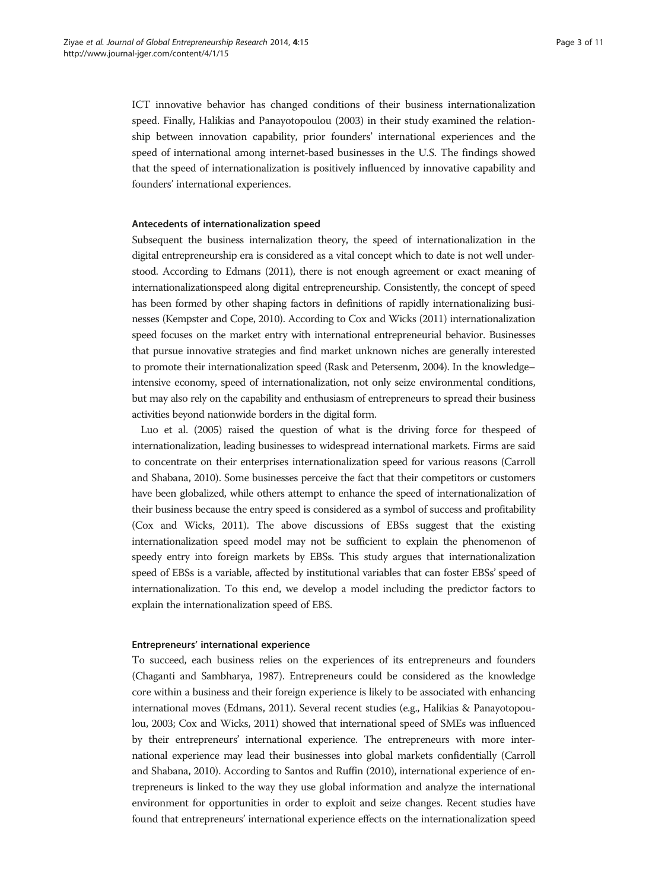ICT innovative behavior has changed conditions of their business internationalization speed. Finally, Halikias and Panayotopoulou [\(2003](#page-11-0)) in their study examined the relationship between innovation capability, prior founders' international experiences and the speed of international among internet-based businesses in the U.S. The findings showed that the speed of internationalization is positively influenced by innovative capability and founders' international experiences.

#### Antecedents of internationalization speed

Subsequent the business internalization theory, the speed of internationalization in the digital entrepreneurship era is considered as a vital concept which to date is not well understood. According to Edmans [\(2011](#page-11-0)), there is not enough agreement or exact meaning of internationalizationspeed along digital entrepreneurship. Consistently, the concept of speed has been formed by other shaping factors in definitions of rapidly internationalizing businesses (Kempster and Cope, [2010](#page-11-0)). According to Cox and Wicks [\(2011\)](#page-11-0) internationalization speed focuses on the market entry with international entrepreneurial behavior. Businesses that pursue innovative strategies and find market unknown niches are generally interested to promote their internationalization speed (Rask and Petersenm, [2004\)](#page-11-0). In the knowledge– intensive economy, speed of internationalization, not only seize environmental conditions, but may also rely on the capability and enthusiasm of entrepreneurs to spread their business activities beyond nationwide borders in the digital form.

Luo et al. [\(2005](#page-11-0)) raised the question of what is the driving force for thespeed of internationalization, leading businesses to widespread international markets. Firms are said to concentrate on their enterprises internationalization speed for various reasons (Carroll and Shabana, [2010](#page-11-0)). Some businesses perceive the fact that their competitors or customers have been globalized, while others attempt to enhance the speed of internationalization of their business because the entry speed is considered as a symbol of success and profitability (Cox and Wicks, [2011\)](#page-11-0). The above discussions of EBSs suggest that the existing internationalization speed model may not be sufficient to explain the phenomenon of speedy entry into foreign markets by EBSs. This study argues that internationalization speed of EBSs is a variable, affected by institutional variables that can foster EBSs' speed of internationalization. To this end, we develop a model including the predictor factors to explain the internationalization speed of EBS.

#### Entrepreneurs' international experience

To succeed, each business relies on the experiences of its entrepreneurs and founders (Chaganti and Sambharya, [1987\)](#page-11-0). Entrepreneurs could be considered as the knowledge core within a business and their foreign experience is likely to be associated with enhancing international moves (Edmans, [2011\)](#page-11-0). Several recent studies (e.g., Halikias & Panayotopoulou, [2003](#page-11-0); Cox and Wicks, [2011\)](#page-11-0) showed that international speed of SMEs was influenced by their entrepreneurs' international experience. The entrepreneurs with more international experience may lead their businesses into global markets confidentially (Carroll and Shabana, [2010\)](#page-11-0). According to Santos and Ruffin ([2010\)](#page-11-0), international experience of entrepreneurs is linked to the way they use global information and analyze the international environment for opportunities in order to exploit and seize changes. Recent studies have found that entrepreneurs' international experience effects on the internationalization speed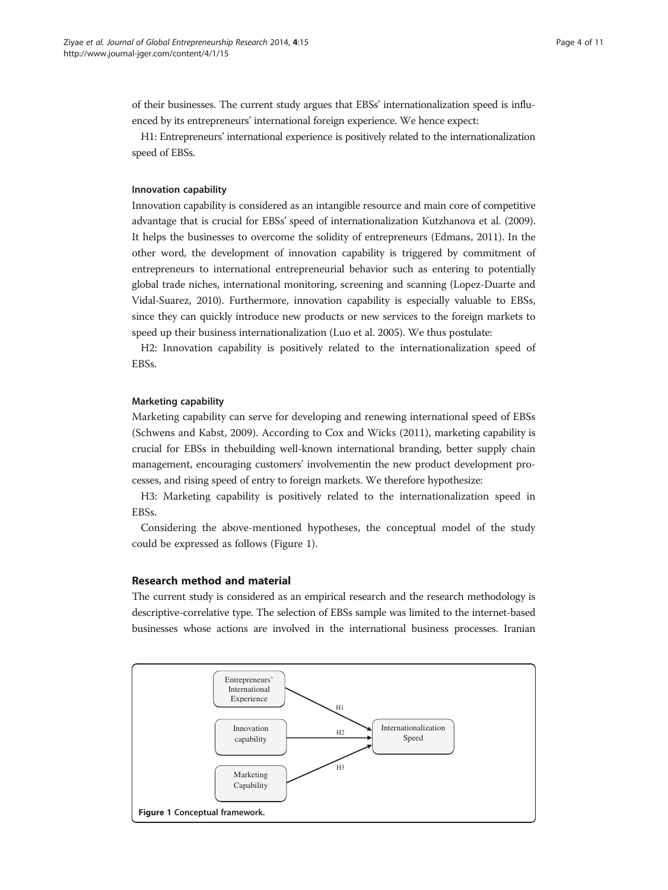of their businesses. The current study argues that EBSs' internationalization speed is influenced by its entrepreneurs' international foreign experience. We hence expect:

H1: Entrepreneurs' international experience is positively related to the internationalization speed of EBSs.

## Innovation capability

Innovation capability is considered as an intangible resource and main core of competitive advantage that is crucial for EBSs' speed of internationalization Kutzhanova et al. [\(2009](#page-11-0)). It helps the businesses to overcome the solidity of entrepreneurs (Edmans, [2011\)](#page-11-0). In the other word, the development of innovation capability is triggered by commitment of entrepreneurs to international entrepreneurial behavior such as entering to potentially global trade niches, international monitoring, screening and scanning (Lopez-Duarte and Vidal-Suarez, [2010\)](#page-11-0). Furthermore, innovation capability is especially valuable to EBSs, since they can quickly introduce new products or new services to the foreign markets to speed up their business internationalization (Luo et al. [2005](#page-11-0)). We thus postulate:

H2: Innovation capability is positively related to the internationalization speed of EBSs.

#### Marketing capability

Marketing capability can serve for developing and renewing international speed of EBSs (Schwens and Kabst, [2009](#page-11-0)). According to Cox and Wicks [\(2011](#page-11-0)), marketing capability is crucial for EBSs in thebuilding well-known international branding, better supply chain management, encouraging customers' involvementin the new product development processes, and rising speed of entry to foreign markets. We therefore hypothesize:

H3: Marketing capability is positively related to the internationalization speed in EBSs.

Considering the above-mentioned hypotheses, the conceptual model of the study could be expressed as follows (Figure 1).

### Research method and material

The current study is considered as an empirical research and the research methodology is descriptive-correlative type. The selection of EBSs sample was limited to the internet-based businesses whose actions are involved in the international business processes. Iranian

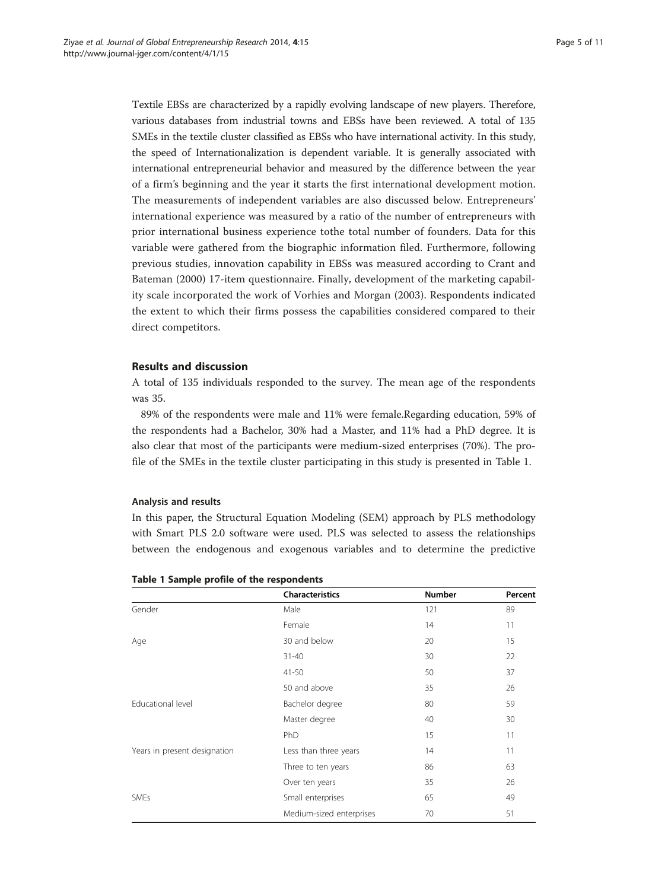Textile EBSs are characterized by a rapidly evolving landscape of new players. Therefore, various databases from industrial towns and EBSs have been reviewed. A total of 135 SMEs in the textile cluster classified as EBSs who have international activity. In this study, the speed of Internationalization is dependent variable. It is generally associated with international entrepreneurial behavior and measured by the difference between the year of a firm's beginning and the year it starts the first international development motion. The measurements of independent variables are also discussed below. Entrepreneurs' international experience was measured by a ratio of the number of entrepreneurs with prior international business experience tothe total number of founders. Data for this variable were gathered from the biographic information filed. Furthermore, following previous studies, innovation capability in EBSs was measured according to Crant and Bateman [\(2000](#page-11-0)) 17-item questionnaire. Finally, development of the marketing capability scale incorporated the work of Vorhies and Morgan ([2003\)](#page-11-0). Respondents indicated the extent to which their firms possess the capabilities considered compared to their direct competitors.

### Results and discussion

A total of 135 individuals responded to the survey. The mean age of the respondents was 35.

89% of the respondents were male and 11% were female.Regarding education, 59% of the respondents had a Bachelor, 30% had a Master, and 11% had a PhD degree. It is also clear that most of the participants were medium-sized enterprises (70%). The profile of the SMEs in the textile cluster participating in this study is presented in Table 1.

#### Analysis and results

In this paper, the Structural Equation Modeling (SEM) approach by PLS methodology with Smart PLS 2.0 software were used. PLS was selected to assess the relationships between the endogenous and exogenous variables and to determine the predictive

|                              | <b>Characteristics</b>   | <b>Number</b> | Percent |
|------------------------------|--------------------------|---------------|---------|
| Gender                       | Male                     | 121           | 89      |
|                              | Female                   | 14            | 11      |
| Age                          | 30 and below             | 20            | 15      |
|                              | $31 - 40$                | 30            | 22      |
|                              | $41 - 50$                | 50            | 37      |
|                              | 50 and above             | 35            | 26      |
| Educational level            | Bachelor degree          | 80            | 59      |
|                              | Master degree            | 40            | 30      |
|                              | PhD                      | 15            | 11      |
| Years in present designation | Less than three years    | 14            | 11      |
|                              | Three to ten years       | 86            | 63      |
|                              | Over ten years           | 35            | 26      |
| SMEs                         | Small enterprises        | 65            | 49      |
|                              | Medium-sized enterprises | 70            | 51      |

#### Table 1 Sample profile of the respondents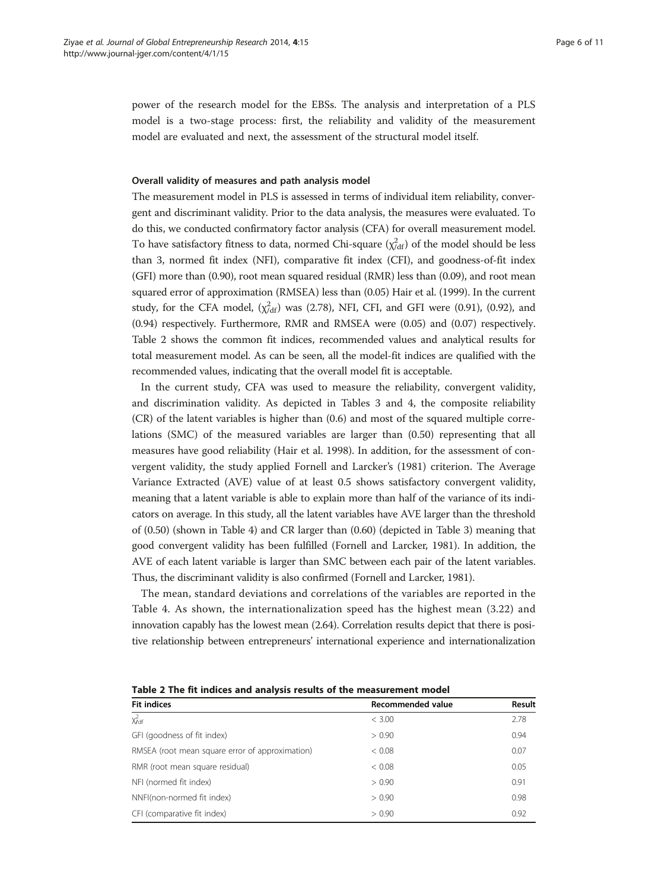power of the research model for the EBSs. The analysis and interpretation of a PLS model is a two-stage process: first, the reliability and validity of the measurement model are evaluated and next, the assessment of the structural model itself.

#### Overall validity of measures and path analysis model

The measurement model in PLS is assessed in terms of individual item reliability, convergent and discriminant validity. Prior to the data analysis, the measures were evaluated. To do this, we conducted confirmatory factor analysis (CFA) for overall measurement model. To have satisfactory fitness to data, normed Chi-square  $(\chi^2_{\text{dd}})$  of the model should be less than 3, normed fit index (NFI), comparative fit index (CFI), and goodness-of-fit index (GFI) more than (0.90), root mean squared residual (RMR) less than (0.09), and root mean squared error of approximation (RMSEA) less than (0.05) Hair et al. ([1999\)](#page-11-0). In the current study, for the CFA model,  $(\chi^2_{\text{dd}})$  was (2.78), NFI, CFI, and GFI were (0.91), (0.92), and (0.94) respectively. Furthermore, RMR and RMSEA were (0.05) and (0.07) respectively. Table 2 shows the common fit indices, recommended values and analytical results for total measurement model. As can be seen, all the model-fit indices are qualified with the recommended values, indicating that the overall model fit is acceptable.

In the current study, CFA was used to measure the reliability, convergent validity, and discrimination validity. As depicted in Tables [3](#page-7-0) and [4,](#page-7-0) the composite reliability (CR) of the latent variables is higher than (0.6) and most of the squared multiple correlations (SMC) of the measured variables are larger than (0.50) representing that all measures have good reliability (Hair et al. [1998\)](#page-11-0). In addition, for the assessment of convergent validity, the study applied Fornell and Larcker's ([1981](#page-11-0)) criterion. The Average Variance Extracted (AVE) value of at least 0.5 shows satisfactory convergent validity, meaning that a latent variable is able to explain more than half of the variance of its indicators on average. In this study, all the latent variables have AVE larger than the threshold of (0.50) (shown in Table [4](#page-7-0)) and CR larger than (0.60) (depicted in Table [3](#page-7-0)) meaning that good convergent validity has been fulfilled (Fornell and Larcker, [1981\)](#page-11-0). In addition, the AVE of each latent variable is larger than SMC between each pair of the latent variables. Thus, the discriminant validity is also confirmed (Fornell and Larcker, [1981](#page-11-0)).

The mean, standard deviations and correlations of the variables are reported in the Table [4.](#page-7-0) As shown, the internationalization speed has the highest mean (3.22) and innovation capably has the lowest mean (2.64). Correlation results depict that there is positive relationship between entrepreneurs' international experience and internationalization

|  | Table 2 The fit indices and analysis results of the measurement model |
|--|-----------------------------------------------------------------------|
|--|-----------------------------------------------------------------------|

| <b>Fit indices</b>                              | Recommended value | Result |
|-------------------------------------------------|-------------------|--------|
| $\chi^2_{\text{Jdf}}$                           | < 3.00            | 2.78   |
| GFI (goodness of fit index)                     | > 0.90            | 0.94   |
| RMSEA (root mean square error of approximation) | < 0.08            | 0.07   |
| RMR (root mean square residual)                 | < 0.08            | 0.05   |
| NFI (normed fit index)                          | > 0.90            | 0.91   |
| NNFI(non-normed fit index)                      | > 0.90            | 0.98   |
| CFI (comparative fit index)                     | > 0.90            | 0.92   |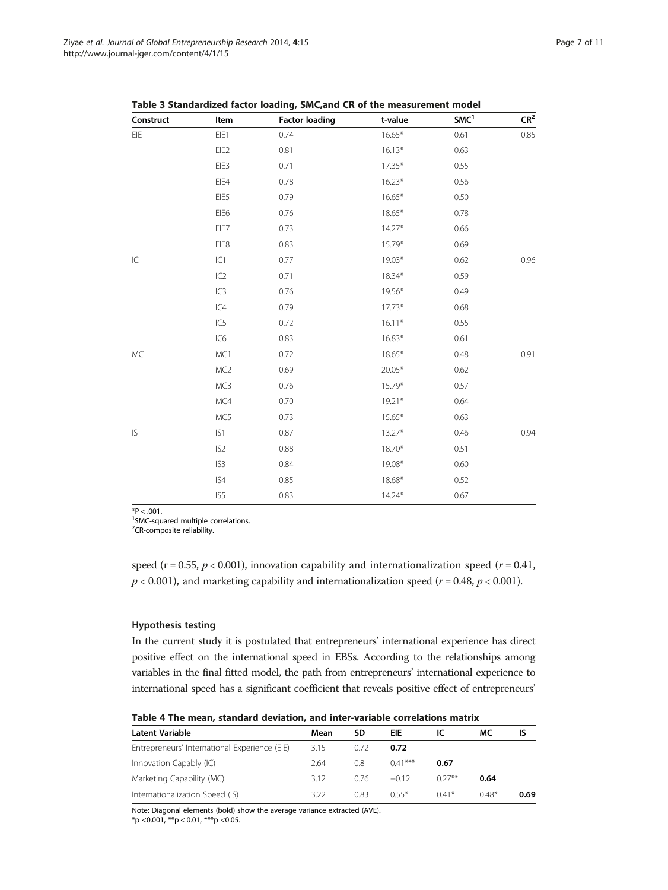| Construct                          | Item             | <b>Factor loading</b> | t-value  | SMC <sup>1</sup> | $\mathsf{CR}^2$ |
|------------------------------------|------------------|-----------------------|----------|------------------|-----------------|
| $\mathsf{E} \mathsf{I} \mathsf{E}$ | EIE1             | 0.74                  | $16.65*$ | 0.61             | 0.85            |
|                                    | EIE <sub>2</sub> | 0.81                  | $16.13*$ | 0.63             |                 |
|                                    | EIE3             | 0.71                  | $17.35*$ | 0.55             |                 |
|                                    | EIE4             | 0.78                  | $16.23*$ | 0.56             |                 |
|                                    | EIE5             | 0.79                  | $16.65*$ | 0.50             |                 |
|                                    | EIE <sub>6</sub> | 0.76                  | 18.65*   | 0.78             |                 |
|                                    | EIE7             | 0.73                  | $14.27*$ | 0.66             |                 |
|                                    | EIE8             | 0.83                  | 15.79*   | 0.69             |                 |
| $\mathsf{IC}$                      | IC1              | 0.77                  | 19.03*   | 0.62             | 0.96            |
|                                    | IC2              | 0.71                  | 18.34*   | 0.59             |                 |
|                                    | IC3              | 0.76                  | 19.56*   | 0.49             |                 |
|                                    | IC4              | 0.79                  | $17.73*$ | 0.68             |                 |
|                                    | IC5              | 0.72                  | $16.11*$ | 0.55             |                 |
|                                    | IC <sub>6</sub>  | 0.83                  | $16.83*$ | 0.61             |                 |
| MC                                 | MC1              | 0.72                  | 18.65*   | 0.48             | 0.91            |
|                                    | MC <sub>2</sub>  | 0.69                  | 20.05*   | 0.62             |                 |
|                                    | MC3              | 0.76                  | 15.79*   | 0.57             |                 |
|                                    | MC4              | 0.70                  | $19.21*$ | 0.64             |                 |
|                                    | MC5              | 0.73                  | 15.65*   | 0.63             |                 |
| $\mathsf{IS}\xspace$               | IS1              | 0.87                  | $13.27*$ | 0.46             | 0.94            |
|                                    | IS <sub>2</sub>  | 0.88                  | 18.70*   | 0.51             |                 |
|                                    | IS <sub>3</sub>  | 0.84                  | 19.08*   | 0.60             |                 |
|                                    | IS4              | 0.85                  | 18.68*   | 0.52             |                 |
|                                    | IS5              | 0.83                  | 14.24*   | 0.67             |                 |

<span id="page-7-0"></span>Table 3 Standardized factor loading, SMC,and CR of the measurement model

 $*P < .001$ .

<sup>1</sup>SMC-squared multiple correlations.

<sup>2</sup>CR-composite reliability.

speed (r = 0.55,  $p < 0.001$ ), innovation capability and internationalization speed (r = 0.41,  $p < 0.001$ ), and marketing capability and internationalization speed ( $r = 0.48$ ,  $p < 0.001$ ).

#### Hypothesis testing

In the current study it is postulated that entrepreneurs' international experience has direct positive effect on the international speed in EBSs. According to the relationships among variables in the final fitted model, the path from entrepreneurs' international experience to international speed has a significant coefficient that reveals positive effect of entrepreneurs'

Table 4 The mean, standard deviation, and inter-variable correlations matrix

| <b>Latent Variable</b>                        | Mean | SD   | EIE       |           | МC      | IS   |
|-----------------------------------------------|------|------|-----------|-----------|---------|------|
| Entrepreneurs' International Experience (EIE) | 3.15 | 0.72 | 0.72      |           |         |      |
| Innovation Capably (IC)                       | 2.64 | 0.8  | $0.41***$ | 0.67      |         |      |
| Marketing Capability (MC)                     | 3.12 | 0.76 | $-0.12$   | $0.27***$ | 0.64    |      |
| Internationalization Speed (IS)               | 3.22 | 0.83 | $0.55*$   | $0.41*$   | $0.48*$ | 0.69 |

Note: Diagonal elements (bold) show the average variance extracted (AVE).

 $*$ p <0.001,  $**$ p < 0.01,  $***$ p < 0.05.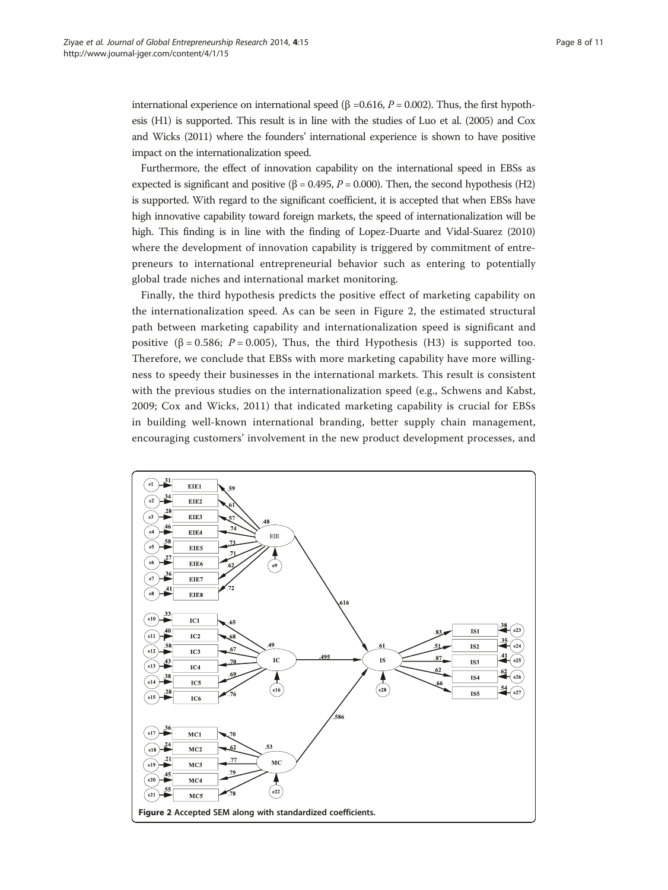<span id="page-8-0"></span>international experience on international speed (β =0.616,  $P = 0.002$ ). Thus, the first hypothesis (H1) is supported. This result is in line with the studies of Luo et al. [\(2005\)](#page-11-0) and Cox and Wicks [\(2011](#page-11-0)) where the founders' international experience is shown to have positive impact on the internationalization speed.

Furthermore, the effect of innovation capability on the international speed in EBSs as expected is significant and positive ( $\beta = 0.495$ ,  $P = 0.000$ ). Then, the second hypothesis (H2) is supported. With regard to the significant coefficient, it is accepted that when EBSs have high innovative capability toward foreign markets, the speed of internationalization will be high. This finding is in line with the finding of Lopez-Duarte and Vidal-Suarez [\(2010](#page-11-0)) where the development of innovation capability is triggered by commitment of entrepreneurs to international entrepreneurial behavior such as entering to potentially global trade niches and international market monitoring.

Finally, the third hypothesis predicts the positive effect of marketing capability on the internationalization speed. As can be seen in Figure 2, the estimated structural path between marketing capability and internationalization speed is significant and positive ( $\beta = 0.586$ ;  $P = 0.005$ ), Thus, the third Hypothesis (H3) is supported too. Therefore, we conclude that EBSs with more marketing capability have more willingness to speedy their businesses in the international markets. This result is consistent with the previous studies on the internationalization speed (e.g., Schwens and Kabst, [2009;](#page-11-0) Cox and Wicks, [2011](#page-11-0)) that indicated marketing capability is crucial for EBSs in building well-known international branding, better supply chain management, encouraging customers' involvement in the new product development processes, and

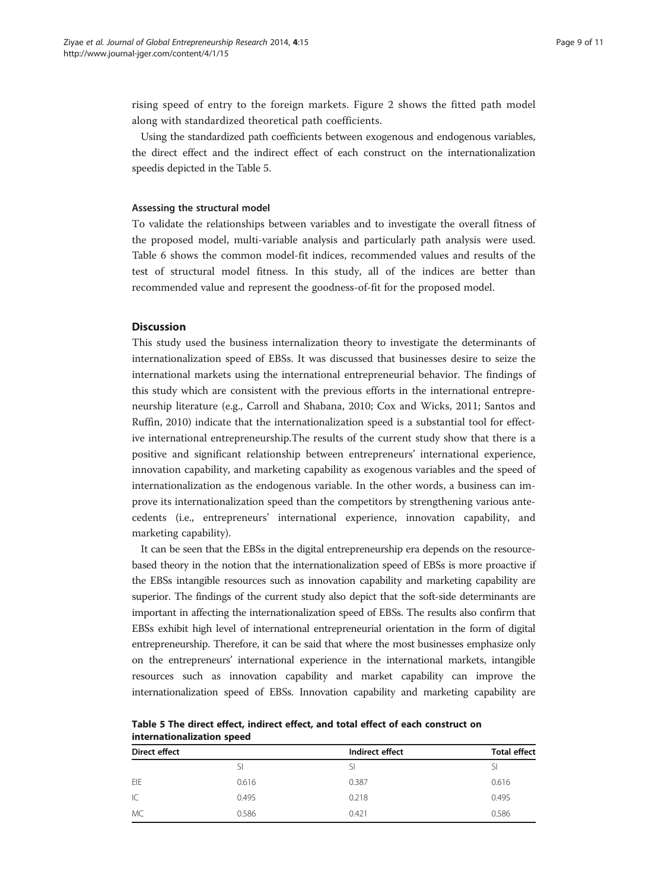rising speed of entry to the foreign markets. Figure [2](#page-8-0) shows the fitted path model along with standardized theoretical path coefficients.

Using the standardized path coefficients between exogenous and endogenous variables, the direct effect and the indirect effect of each construct on the internationalization speedis depicted in the Table 5.

### Assessing the structural model

To validate the relationships between variables and to investigate the overall fitness of the proposed model, multi-variable analysis and particularly path analysis were used. Table [6](#page-10-0) shows the common model-fit indices, recommended values and results of the test of structural model fitness. In this study, all of the indices are better than recommended value and represent the goodness-of-fit for the proposed model.

#### **Discussion**

This study used the business internalization theory to investigate the determinants of internationalization speed of EBSs. It was discussed that businesses desire to seize the international markets using the international entrepreneurial behavior. The findings of this study which are consistent with the previous efforts in the international entrepreneurship literature (e.g., Carroll and Shabana, [2010;](#page-11-0) Cox and Wicks, [2011](#page-11-0); Santos and Ruffin, [2010\)](#page-11-0) indicate that the internationalization speed is a substantial tool for effective international entrepreneurship.The results of the current study show that there is a positive and significant relationship between entrepreneurs' international experience, innovation capability, and marketing capability as exogenous variables and the speed of internationalization as the endogenous variable. In the other words, a business can improve its internationalization speed than the competitors by strengthening various antecedents (i.e., entrepreneurs' international experience, innovation capability, and marketing capability).

It can be seen that the EBSs in the digital entrepreneurship era depends on the resourcebased theory in the notion that the internationalization speed of EBSs is more proactive if the EBSs intangible resources such as innovation capability and marketing capability are superior. The findings of the current study also depict that the soft-side determinants are important in affecting the internationalization speed of EBSs. The results also confirm that EBSs exhibit high level of international entrepreneurial orientation in the form of digital entrepreneurship. Therefore, it can be said that where the most businesses emphasize only on the entrepreneurs' international experience in the international markets, intangible resources such as innovation capability and market capability can improve the internationalization speed of EBSs. Innovation capability and marketing capability are

| <b>Direct effect</b> |       | Indirect effect | <b>Total effect</b> |
|----------------------|-------|-----------------|---------------------|
|                      | SI    |                 |                     |
| EIE                  | 0.616 | 0.387           | 0.616               |
| IC                   | 0.495 | 0.218           | 0.495               |
| MC                   | 0.586 | 0.421           | 0.586               |

Table 5 The direct effect, indirect effect, and total effect of each construct on internationalization speed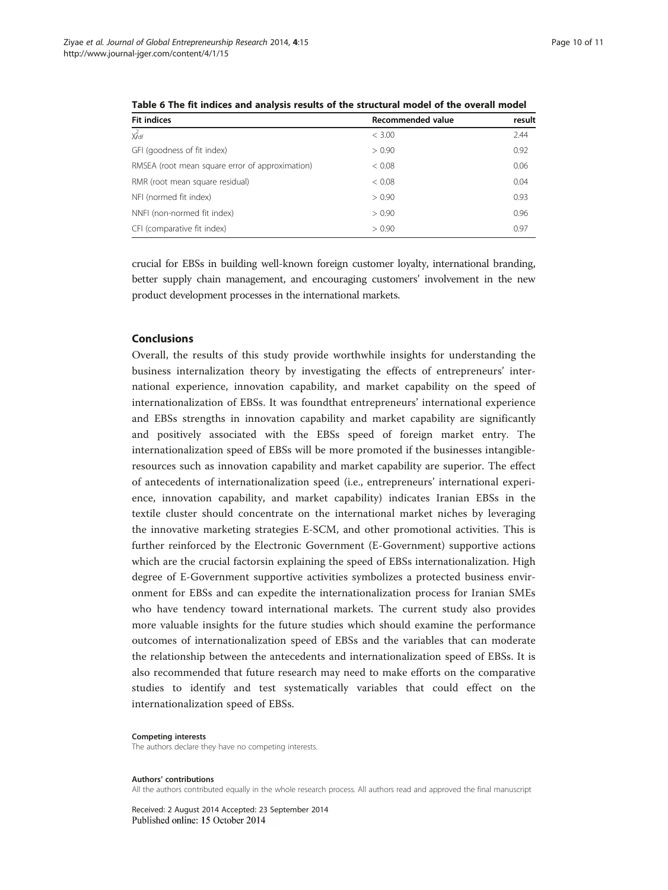| <b>Fit indices</b>                              | Recommended value | result |  |
|-------------------------------------------------|-------------------|--------|--|
| $\chi^2_{\text{df}}$                            | < 3.00            | 2.44   |  |
| GFI (goodness of fit index)                     | > 0.90            | 0.92   |  |
| RMSEA (root mean square error of approximation) | < 0.08            | 0.06   |  |
| RMR (root mean square residual)                 | < 0.08            | 0.04   |  |
| NFI (normed fit index)                          | > 0.90            | 0.93   |  |
| NNFI (non-normed fit index)                     | > 0.90            | 0.96   |  |
| CFI (comparative fit index)                     | > 0.90            | 0.97   |  |

<span id="page-10-0"></span>Table 6 The fit indices and analysis results of the structural model of the overall model

crucial for EBSs in building well-known foreign customer loyalty, international branding, better supply chain management, and encouraging customers' involvement in the new product development processes in the international markets.

#### Conclusions

Overall, the results of this study provide worthwhile insights for understanding the business internalization theory by investigating the effects of entrepreneurs' international experience, innovation capability, and market capability on the speed of internationalization of EBSs. It was foundthat entrepreneurs' international experience and EBSs strengths in innovation capability and market capability are significantly and positively associated with the EBSs speed of foreign market entry. The internationalization speed of EBSs will be more promoted if the businesses intangibleresources such as innovation capability and market capability are superior. The effect of antecedents of internationalization speed (i.e., entrepreneurs' international experience, innovation capability, and market capability) indicates Iranian EBSs in the textile cluster should concentrate on the international market niches by leveraging the innovative marketing strategies E-SCM, and other promotional activities. This is further reinforced by the Electronic Government (E-Government) supportive actions which are the crucial factorsin explaining the speed of EBSs internationalization. High degree of E-Government supportive activities symbolizes a protected business environment for EBSs and can expedite the internationalization process for Iranian SMEs who have tendency toward international markets. The current study also provides more valuable insights for the future studies which should examine the performance outcomes of internationalization speed of EBSs and the variables that can moderate the relationship between the antecedents and internationalization speed of EBSs. It is also recommended that future research may need to make efforts on the comparative studies to identify and test systematically variables that could effect on the internationalization speed of EBSs.

#### Competing interests

The authors declare they have no competing interests.

#### Authors' contributions

All the authors contributed equally in the whole research process. All authors read and approved the final manuscript

Received: 2 August 2014 Accepted: 23 September 2014Published online: 15 October 2014